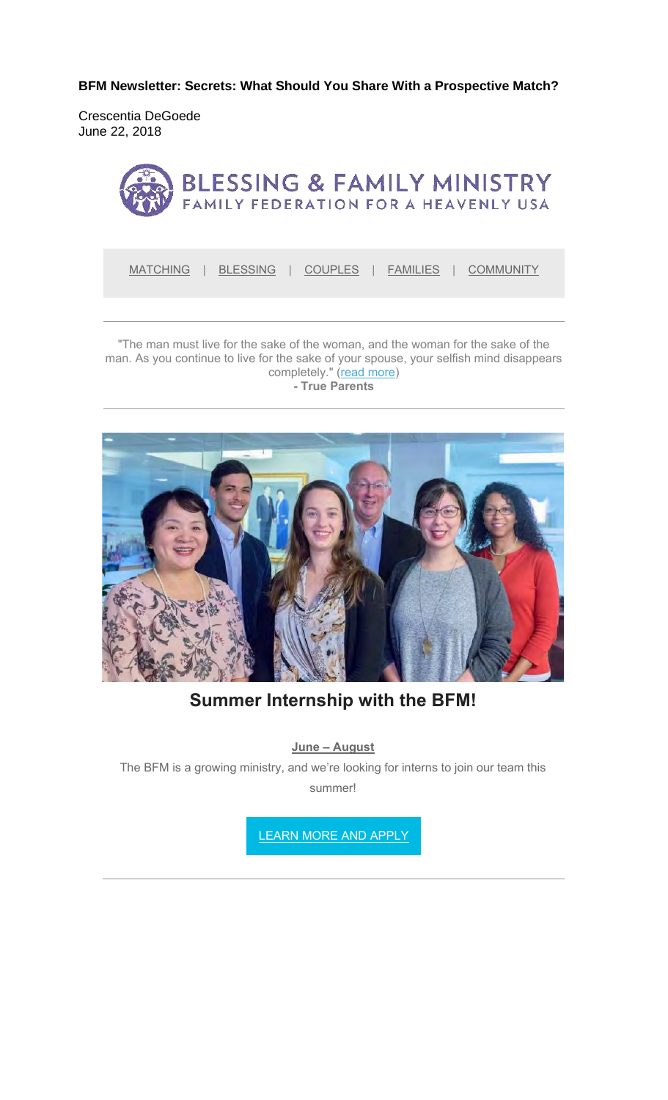**BFM Newsletter: Secrets: What Should You Share With a Prospective Match?**

Crescentia DeGoede June 22, 2018



MATCHING | BLESSING | COUPLES | FAMILIES | COMMUNITY

"The man must live for the sake of the woman, and the woman for the sake of the man. As you continue to live for the sake of your spouse, your selfish mind disappears completely." (read more) **- True Parents**



**Summer Internship with the BFM!**

**June – August**

The BFM is a growing ministry, and we're looking for interns to join our team this summer!

LEARN MORE AND APPLY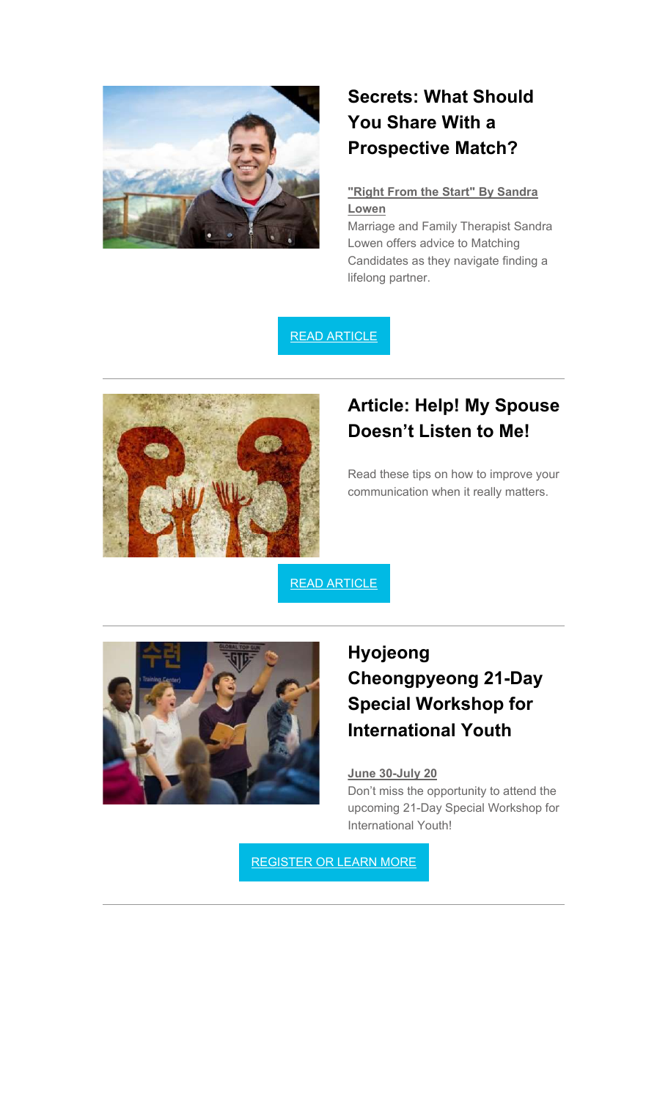

# **Secrets: What Should You Share With a Prospective Match?**

### **"Right From the Start" By Sandra Lowen**

Marriage and Family Therapist Sandra Lowen offers advice to Matching Candidates as they navigate finding a lifelong partner.

### READ ARTICLE



### **Article: Help! My Spouse Doesn't Listen to Me!**

Read these tips on how to improve your communication when it really matters.

READ ARTICLE



## **Hyojeong Cheongpyeong 21-Day Special Workshop for International Youth**

#### **June 30-July 20**

Don't miss the opportunity to attend the upcoming 21-Day Special Workshop for International Youth!

REGISTER OR LEARN MORE